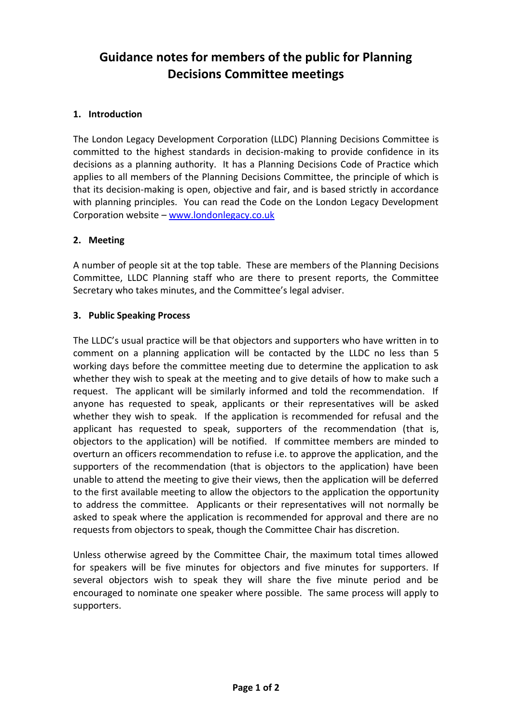# **Guidance notes for members of the public for Planning Decisions Committee meetings**

## **1. Introduction**

The London Legacy Development Corporation (LLDC) Planning Decisions Committee is committed to the highest standards in decision-making to provide confidence in its decisions as a planning authority. It has a Planning Decisions Code of Practice which applies to all members of the Planning Decisions Committee, the principle of which is that its decision-making is open, objective and fair, and is based strictly in accordance with planning principles. You can read the Code on the London Legacy Development Corporation website – [www.londonlegacy.co.uk](http://www.londonlegacy.co.uk/)

### **2. Meeting**

A number of people sit at the top table. These are members of the Planning Decisions Committee, LLDC Planning staff who are there to present reports, the Committee Secretary who takes minutes, and the Committee's legal adviser.

### **3. Public Speaking Process**

The LLDC's usual practice will be that objectors and supporters who have written in to comment on a planning application will be contacted by the LLDC no less than 5 working days before the committee meeting due to determine the application to ask whether they wish to speak at the meeting and to give details of how to make such a request. The applicant will be similarly informed and told the recommendation. If anyone has requested to speak, applicants or their representatives will be asked whether they wish to speak. If the application is recommended for refusal and the applicant has requested to speak, supporters of the recommendation (that is, objectors to the application) will be notified. If committee members are minded to overturn an officers recommendation to refuse i.e. to approve the application, and the supporters of the recommendation (that is objectors to the application) have been unable to attend the meeting to give their views, then the application will be deferred to the first available meeting to allow the objectors to the application the opportunity to address the committee. Applicants or their representatives will not normally be asked to speak where the application is recommended for approval and there are no requests from objectors to speak, though the Committee Chair has discretion.

Unless otherwise agreed by the Committee Chair, the maximum total times allowed for speakers will be five minutes for objectors and five minutes for supporters. If several objectors wish to speak they will share the five minute period and be encouraged to nominate one speaker where possible. The same process will apply to supporters.